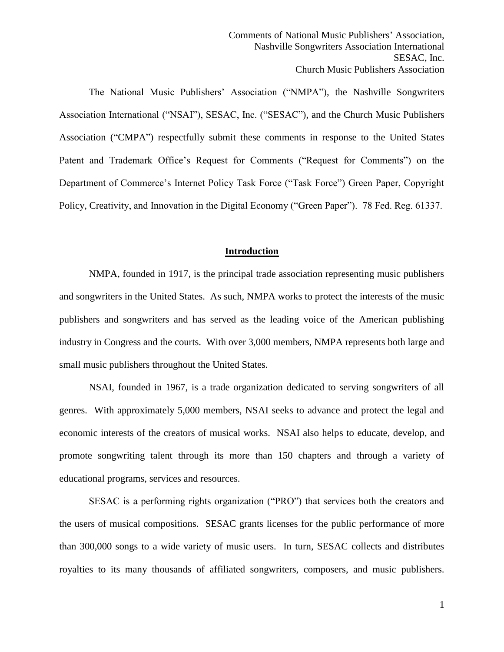The National Music Publishers' Association ("NMPA"), the Nashville Songwriters Association International ("NSAI"), SESAC, Inc. ("SESAC"), and the Church Music Publishers Association ("CMPA") respectfully submit these comments in response to the United States Patent and Trademark Office's Request for Comments ("Request for Comments") on the Department of Commerce's Internet Policy Task Force ("Task Force") Green Paper, Copyright Policy, Creativity, and Innovation in the Digital Economy ("Green Paper"). 78 Fed. Reg. 61337.

# **Introduction**

NMPA, founded in 1917, is the principal trade association representing music publishers and songwriters in the United States. As such, NMPA works to protect the interests of the music publishers and songwriters and has served as the leading voice of the American publishing industry in Congress and the courts. With over 3,000 members, NMPA represents both large and small music publishers throughout the United States.

NSAI, founded in 1967, is a trade organization dedicated to serving songwriters of all genres. With approximately 5,000 members, NSAI seeks to advance and protect the legal and economic interests of the creators of musical works. NSAI also helps to educate, develop, and promote songwriting talent through its more than 150 chapters and through a variety of educational programs, services and resources.

SESAC is a performing rights organization ("PRO") that services both the creators and the users of musical compositions. SESAC grants licenses for the public performance of more than 300,000 songs to a wide variety of music users. In turn, SESAC collects and distributes royalties to its many thousands of affiliated songwriters, composers, and music publishers.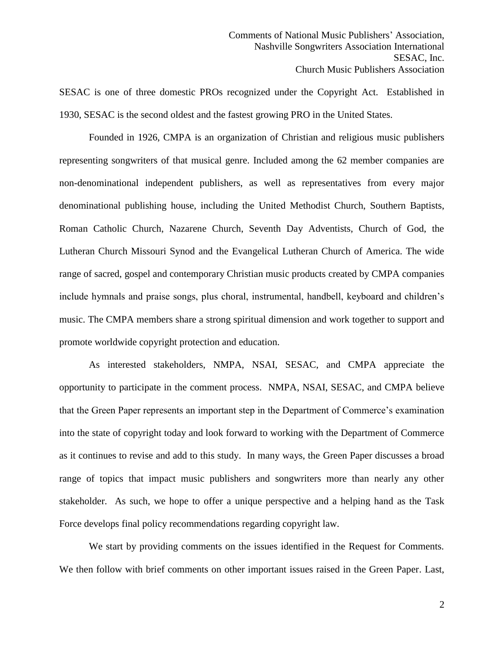SESAC is one of three domestic PROs recognized under the Copyright Act. Established in 1930, SESAC is the second oldest and the fastest growing PRO in the United States.

Founded in 1926, CMPA is an organization of Christian and religious music publishers representing songwriters of that musical genre. Included among the 62 member companies are non-denominational independent publishers, as well as representatives from every major denominational publishing house, including the United Methodist Church, Southern Baptists, Roman Catholic Church, Nazarene Church, Seventh Day Adventists, Church of God, the Lutheran Church Missouri Synod and the Evangelical Lutheran Church of America. The wide range of sacred, gospel and contemporary Christian music products created by CMPA companies include hymnals and praise songs, plus choral, instrumental, handbell, keyboard and children's music. The CMPA members share a strong spiritual dimension and work together to support and promote worldwide copyright protection and education.

As interested stakeholders, NMPA, NSAI, SESAC, and CMPA appreciate the opportunity to participate in the comment process. NMPA, NSAI, SESAC, and CMPA believe that the Green Paper represents an important step in the Department of Commerce's examination into the state of copyright today and look forward to working with the Department of Commerce as it continues to revise and add to this study. In many ways, the Green Paper discusses a broad range of topics that impact music publishers and songwriters more than nearly any other stakeholder. As such, we hope to offer a unique perspective and a helping hand as the Task Force develops final policy recommendations regarding copyright law.

We start by providing comments on the issues identified in the Request for Comments. We then follow with brief comments on other important issues raised in the Green Paper. Last,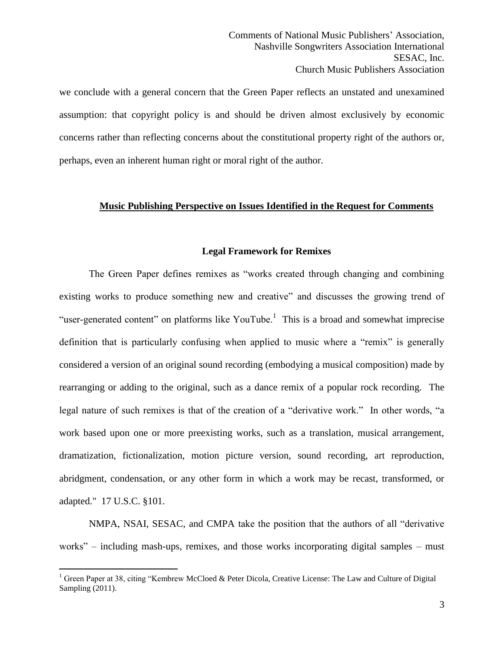we conclude with a general concern that the Green Paper reflects an unstated and unexamined assumption: that copyright policy is and should be driven almost exclusively by economic concerns rather than reflecting concerns about the constitutional property right of the authors or, perhaps, even an inherent human right or moral right of the author.

# **Music Publishing Perspective on Issues Identified in the Request for Comments**

#### **Legal Framework for Remixes**

The Green Paper defines remixes as "works created through changing and combining existing works to produce something new and creative" and discusses the growing trend of "user-generated content" on platforms like YouTube.<sup>1</sup> This is a broad and somewhat imprecise definition that is particularly confusing when applied to music where a "remix" is generally considered a version of an original sound recording (embodying a musical composition) made by rearranging or adding to the original, such as a dance remix of a popular rock recording. The legal nature of such remixes is that of the creation of a "derivative work." In other words, "a work based upon one or more preexisting works, such as a translation, musical arrangement, dramatization, fictionalization, motion picture version, sound recording, art reproduction, abridgment, condensation, or any other form in which a work may be recast, transformed, or adapted." 17 U.S.C. §101.

NMPA, NSAI, SESAC, and CMPA take the position that the authors of all "derivative works" – including mash-ups, remixes, and those works incorporating digital samples – must

<sup>&</sup>lt;sup>1</sup> Green Paper at 38, citing "Kembrew McCloed & Peter Dicola, Creative License: The Law and Culture of Digital Sampling (2011).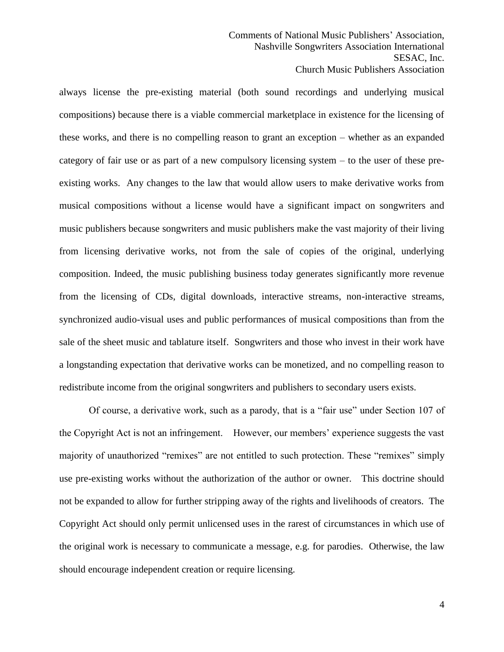always license the pre-existing material (both sound recordings and underlying musical compositions) because there is a viable commercial marketplace in existence for the licensing of these works, and there is no compelling reason to grant an exception – whether as an expanded category of fair use or as part of a new compulsory licensing system – to the user of these preexisting works. Any changes to the law that would allow users to make derivative works from musical compositions without a license would have a significant impact on songwriters and music publishers because songwriters and music publishers make the vast majority of their living from licensing derivative works, not from the sale of copies of the original, underlying composition. Indeed, the music publishing business today generates significantly more revenue from the licensing of CDs, digital downloads, interactive streams, non-interactive streams, synchronized audio-visual uses and public performances of musical compositions than from the sale of the sheet music and tablature itself. Songwriters and those who invest in their work have a longstanding expectation that derivative works can be monetized, and no compelling reason to redistribute income from the original songwriters and publishers to secondary users exists.

Of course, a derivative work, such as a parody, that is a "fair use" under Section 107 of the Copyright Act is not an infringement. However, our members' experience suggests the vast majority of unauthorized "remixes" are not entitled to such protection. These "remixes" simply use pre-existing works without the authorization of the author or owner. This doctrine should not be expanded to allow for further stripping away of the rights and livelihoods of creators. The Copyright Act should only permit unlicensed uses in the rarest of circumstances in which use of the original work is necessary to communicate a message, e.g. for parodies. Otherwise, the law should encourage independent creation or require licensing.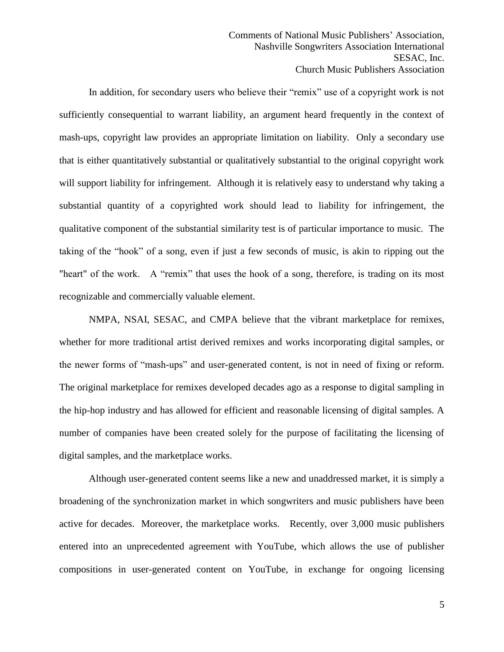In addition, for secondary users who believe their "remix" use of a copyright work is not sufficiently consequential to warrant liability, an argument heard frequently in the context of mash-ups, copyright law provides an appropriate limitation on liability. Only a secondary use that is either quantitatively substantial or qualitatively substantial to the original copyright work will support liability for infringement. Although it is relatively easy to understand why taking a substantial quantity of a copyrighted work should lead to liability for infringement, the qualitative component of the substantial similarity test is of particular importance to music. The taking of the "hook" of a song, even if just a few seconds of music, is akin to ripping out the "heart" of the work. A "remix" that uses the hook of a song, therefore, is trading on its most recognizable and commercially valuable element.

NMPA, NSAI, SESAC, and CMPA believe that the vibrant marketplace for remixes, whether for more traditional artist derived remixes and works incorporating digital samples, or the newer forms of "mash-ups" and user-generated content, is not in need of fixing or reform. The original marketplace for remixes developed decades ago as a response to digital sampling in the hip-hop industry and has allowed for efficient and reasonable licensing of digital samples. A number of companies have been created solely for the purpose of facilitating the licensing of digital samples, and the marketplace works.

Although user-generated content seems like a new and unaddressed market, it is simply a broadening of the synchronization market in which songwriters and music publishers have been active for decades. Moreover, the marketplace works. Recently, over 3,000 music publishers entered into an unprecedented agreement with YouTube, which allows the use of publisher compositions in user-generated content on YouTube, in exchange for ongoing licensing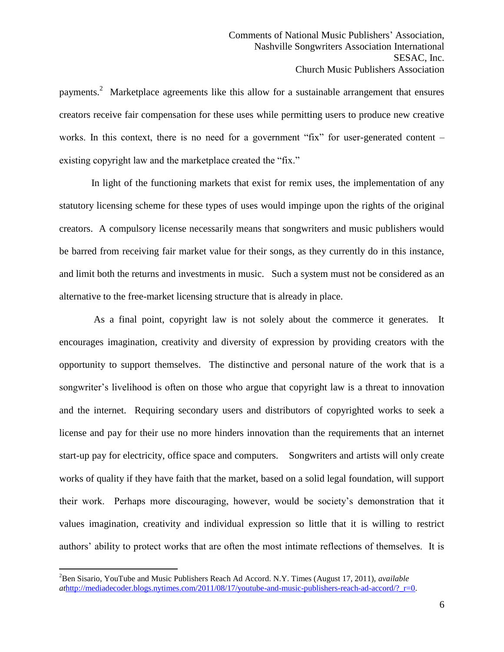payments.<sup>2</sup> Marketplace agreements like this allow for a sustainable arrangement that ensures creators receive fair compensation for these uses while permitting users to produce new creative works. In this context, there is no need for a government "fix" for user-generated content – existing copyright law and the marketplace created the "fix."

In light of the functioning markets that exist for remix uses, the implementation of any statutory licensing scheme for these types of uses would impinge upon the rights of the original creators. A compulsory license necessarily means that songwriters and music publishers would be barred from receiving fair market value for their songs, as they currently do in this instance, and limit both the returns and investments in music. Such a system must not be considered as an alternative to the free-market licensing structure that is already in place.

 As a final point, copyright law is not solely about the commerce it generates. It encourages imagination, creativity and diversity of expression by providing creators with the opportunity to support themselves. The distinctive and personal nature of the work that is a songwriter's livelihood is often on those who argue that copyright law is a threat to innovation and the internet. Requiring secondary users and distributors of copyrighted works to seek a license and pay for their use no more hinders innovation than the requirements that an internet start-up pay for electricity, office space and computers. Songwriters and artists will only create works of quality if they have faith that the market, based on a solid legal foundation, will support their work. Perhaps more discouraging, however, would be society's demonstration that it values imagination, creativity and individual expression so little that it is willing to restrict authors' ability to protect works that are often the most intimate reflections of themselves. It is

<sup>2</sup>Ben Sisario, YouTube and Music Publishers Reach Ad Accord. N.Y. Times (August 17, 2011), *available at*[http://mediadecoder.blogs.nytimes.com/2011/08/17/youtube-and-music-publishers-reach-ad-accord/?\\_r=0.](http://mediadecoder.blogs.nytimes.com/2011/08/17/youtube-and-music-publishers-reach-ad-accord/?_r=0)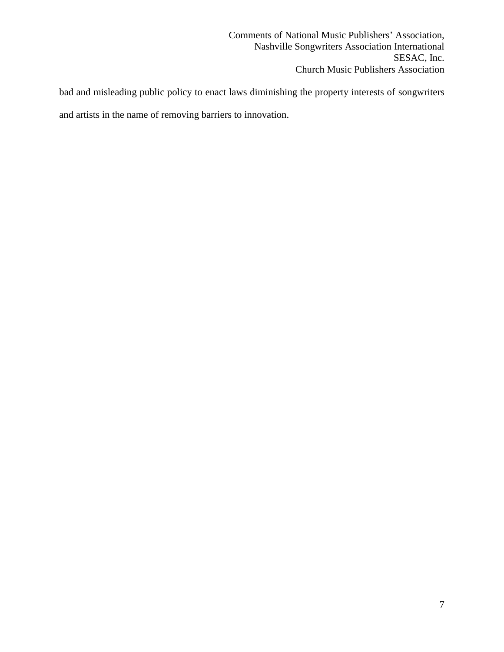bad and misleading public policy to enact laws diminishing the property interests of songwriters and artists in the name of removing barriers to innovation.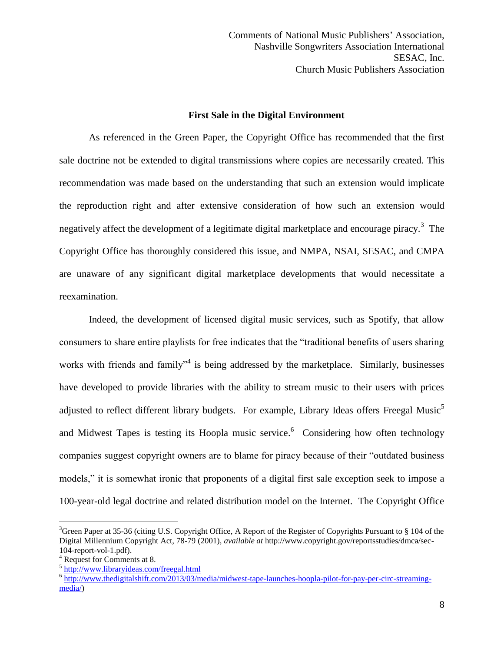# **First Sale in the Digital Environment**

As referenced in the Green Paper, the Copyright Office has recommended that the first sale doctrine not be extended to digital transmissions where copies are necessarily created. This recommendation was made based on the understanding that such an extension would implicate the reproduction right and after extensive consideration of how such an extension would negatively affect the development of a legitimate digital marketplace and encourage piracy.<sup>3</sup> The Copyright Office has thoroughly considered this issue, and NMPA, NSAI, SESAC, and CMPA are unaware of any significant digital marketplace developments that would necessitate a reexamination.

Indeed, the development of licensed digital music services, such as Spotify, that allow consumers to share entire playlists for free indicates that the "traditional benefits of users sharing works with friends and family<sup>34</sup> is being addressed by the marketplace. Similarly, businesses have developed to provide libraries with the ability to stream music to their users with prices adjusted to reflect different library budgets. For example, Library Ideas offers Freegal Music<sup>5</sup> and Midwest Tapes is testing its Hoopla music service. 6 Considering how often technology companies suggest copyright owners are to blame for piracy because of their "outdated business models," it is somewhat ironic that proponents of a digital first sale exception seek to impose a 100-year-old legal doctrine and related distribution model on the Internet. The Copyright Office

<sup>3</sup>Green Paper at 35-36 (citing U.S. Copyright Office, A Report of the Register of Copyrights Pursuant to § 104 of the Digital Millennium Copyright Act, 78-79 (2001), *available at* http://www.copyright.gov/reportsstudies/dmca/sec-104-report-vol-1.pdf).

<sup>4</sup> Request for Comments at 8.

<sup>&</sup>lt;sup>5</sup> <http://www.libraryideas.com/freegal.html>

<sup>&</sup>lt;sup>6</sup> [http://www.thedigitalshift.com/2013/03/media/midwest-tape-launches-hoopla-pilot-for-pay-per-circ-streaming](http://www.thedigitalshift.com/2013/03/media/midwest-tape-launches-hoopla-pilot-for-pay-per-circ-streaming-media/)[media/\)](http://www.thedigitalshift.com/2013/03/media/midwest-tape-launches-hoopla-pilot-for-pay-per-circ-streaming-media/)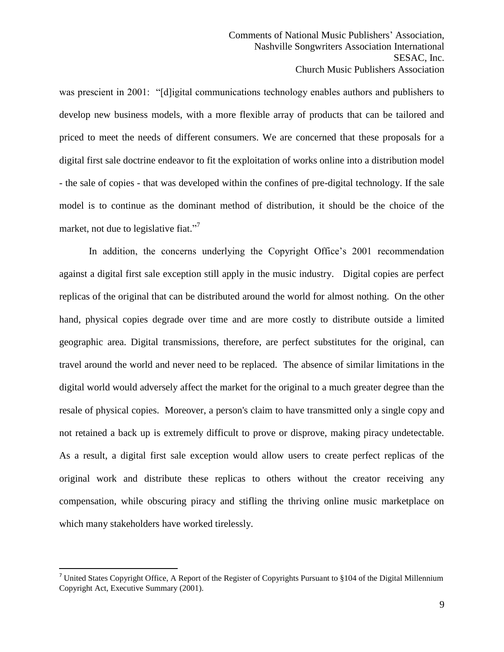was prescient in 2001: "[d]igital communications technology enables authors and publishers to develop new business models, with a more flexible array of products that can be tailored and priced to meet the needs of different consumers. We are concerned that these proposals for a digital first sale doctrine endeavor to fit the exploitation of works online into a distribution model - the sale of copies - that was developed within the confines of pre-digital technology. If the sale model is to continue as the dominant method of distribution, it should be the choice of the market, not due to legislative fiat."<sup>7</sup>

In addition, the concerns underlying the Copyright Office's 2001 recommendation against a digital first sale exception still apply in the music industry. Digital copies are perfect replicas of the original that can be distributed around the world for almost nothing. On the other hand, physical copies degrade over time and are more costly to distribute outside a limited geographic area. Digital transmissions, therefore, are perfect substitutes for the original, can travel around the world and never need to be replaced. The absence of similar limitations in the digital world would adversely affect the market for the original to a much greater degree than the resale of physical copies. Moreover, a person's claim to have transmitted only a single copy and not retained a back up is extremely difficult to prove or disprove, making piracy undetectable. As a result, a digital first sale exception would allow users to create perfect replicas of the original work and distribute these replicas to others without the creator receiving any compensation, while obscuring piracy and stifling the thriving online music marketplace on which many stakeholders have worked tirelessly.

<sup>&</sup>lt;sup>7</sup> United States Copyright Office, A Report of the Register of Copyrights Pursuant to  $§104$  of the Digital Millennium Copyright Act, Executive Summary (2001).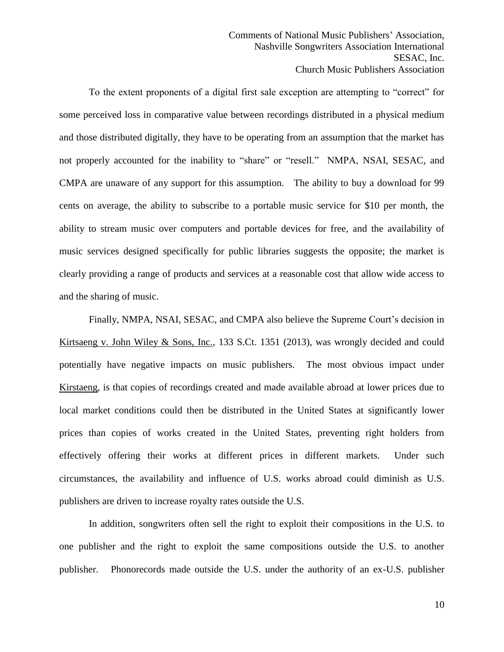To the extent proponents of a digital first sale exception are attempting to "correct" for some perceived loss in comparative value between recordings distributed in a physical medium and those distributed digitally, they have to be operating from an assumption that the market has not properly accounted for the inability to "share" or "resell." NMPA, NSAI, SESAC, and CMPA are unaware of any support for this assumption. The ability to buy a download for 99 cents on average, the ability to subscribe to a portable music service for \$10 per month, the ability to stream music over computers and portable devices for free, and the availability of music services designed specifically for public libraries suggests the opposite; the market is clearly providing a range of products and services at a reasonable cost that allow wide access to and the sharing of music.

Finally, NMPA, NSAI, SESAC, and CMPA also believe the Supreme Court's decision in Kirtsaeng v. John Wiley & Sons, Inc., 133 S.Ct. 1351 (2013), was wrongly decided and could potentially have negative impacts on music publishers. The most obvious impact under Kirstaeng, is that copies of recordings created and made available abroad at lower prices due to local market conditions could then be distributed in the United States at significantly lower prices than copies of works created in the United States, preventing right holders from effectively offering their works at different prices in different markets. Under such circumstances, the availability and influence of U.S. works abroad could diminish as U.S. publishers are driven to increase royalty rates outside the U.S.

In addition, songwriters often sell the right to exploit their compositions in the U.S. to one publisher and the right to exploit the same compositions outside the U.S. to another publisher. Phonorecords made outside the U.S. under the authority of an ex-U.S. publisher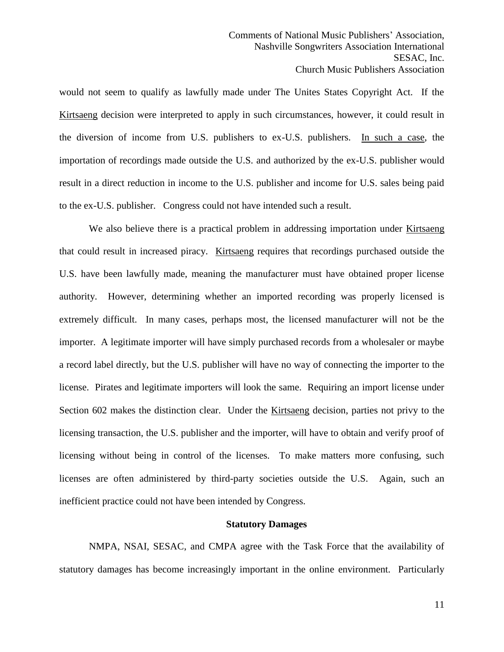would not seem to qualify as lawfully made under The Unites States Copyright Act. If the Kirtsaeng decision were interpreted to apply in such circumstances, however, it could result in the diversion of income from U.S. publishers to ex-U.S. publishers. In such a case, the importation of recordings made outside the U.S. and authorized by the ex-U.S. publisher would result in a direct reduction in income to the U.S. publisher and income for U.S. sales being paid to the ex-U.S. publisher. Congress could not have intended such a result.

We also believe there is a practical problem in addressing importation under Kirtsaeng that could result in increased piracy. Kirtsaeng requires that recordings purchased outside the U.S. have been lawfully made, meaning the manufacturer must have obtained proper license authority. However, determining whether an imported recording was properly licensed is extremely difficult. In many cases, perhaps most, the licensed manufacturer will not be the importer. A legitimate importer will have simply purchased records from a wholesaler or maybe a record label directly, but the U.S. publisher will have no way of connecting the importer to the license. Pirates and legitimate importers will look the same. Requiring an import license under Section 602 makes the distinction clear. Under the Kirtsaeng decision, parties not privy to the licensing transaction, the U.S. publisher and the importer, will have to obtain and verify proof of licensing without being in control of the licenses. To make matters more confusing, such licenses are often administered by third-party societies outside the U.S. Again, such an inefficient practice could not have been intended by Congress.

#### **Statutory Damages**

NMPA, NSAI, SESAC, and CMPA agree with the Task Force that the availability of statutory damages has become increasingly important in the online environment. Particularly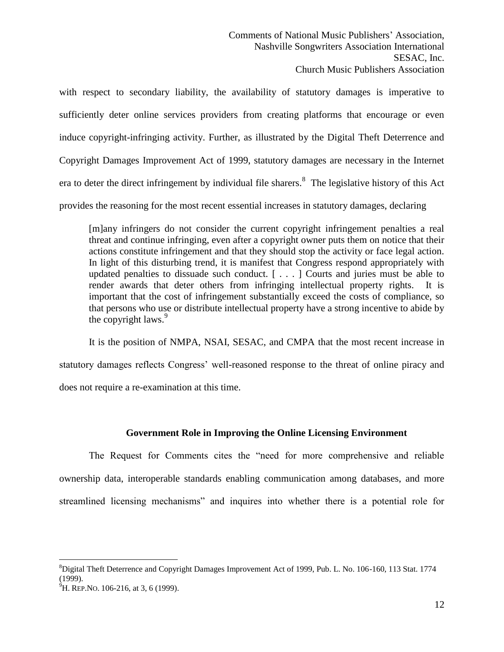with respect to secondary liability, the availability of statutory damages is imperative to sufficiently deter online services providers from creating platforms that encourage or even induce copyright-infringing activity. Further, as illustrated by the Digital Theft Deterrence and Copyright Damages Improvement Act of 1999, statutory damages are necessary in the Internet era to deter the direct infringement by individual file sharers.<sup>8</sup> The legislative history of this Act provides the reasoning for the most recent essential increases in statutory damages, declaring

[m]any infringers do not consider the current copyright infringement penalties a real threat and continue infringing, even after a copyright owner puts them on notice that their actions constitute infringement and that they should stop the activity or face legal action. In light of this disturbing trend, it is manifest that Congress respond appropriately with updated penalties to dissuade such conduct. [ . . . ] Courts and juries must be able to render awards that deter others from infringing intellectual property rights. It is important that the cost of infringement substantially exceed the costs of compliance, so that persons who use or distribute intellectual property have a strong incentive to abide by the copyright laws. $9^9$ 

It is the position of NMPA, NSAI, SESAC, and CMPA that the most recent increase in statutory damages reflects Congress' well-reasoned response to the threat of online piracy and does not require a re-examination at this time.

# **Government Role in Improving the Online Licensing Environment**

The Request for Comments cites the "need for more comprehensive and reliable ownership data, interoperable standards enabling communication among databases, and more streamlined licensing mechanisms" and inquires into whether there is a potential role for

 $\overline{a}$ <sup>8</sup>Digital Theft Deterrence and Copyright Damages Improvement Act of 1999, Pub. L. No. 106-160, 113 Stat. 1774 (1999).

 $^{9}$ H. REP.NO. 106-216, at 3, 6 (1999).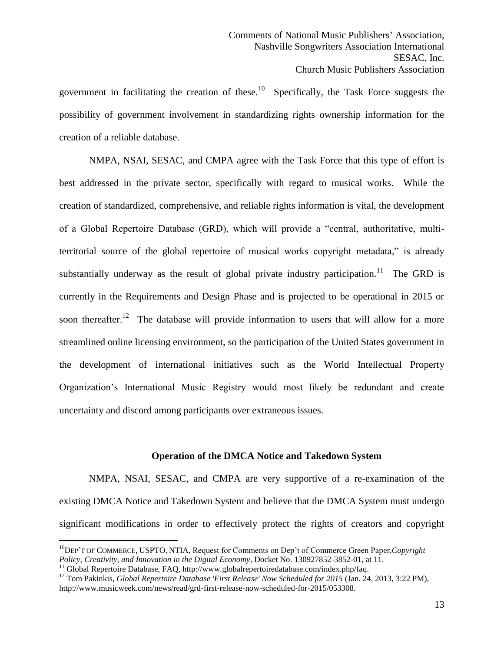government in facilitating the creation of these.<sup>10</sup> Specifically, the Task Force suggests the possibility of government involvement in standardizing rights ownership information for the creation of a reliable database.

NMPA, NSAI, SESAC, and CMPA agree with the Task Force that this type of effort is best addressed in the private sector, specifically with regard to musical works. While the creation of standardized, comprehensive, and reliable rights information is vital, the development of a Global Repertoire Database (GRD), which will provide a "central, authoritative, multiterritorial source of the global repertoire of musical works copyright metadata," is already substantially underway as the result of global private industry participation.<sup>11</sup> The GRD is currently in the Requirements and Design Phase and is projected to be operational in 2015 or soon thereafter.<sup>12</sup> The database will provide information to users that will allow for a more streamlined online licensing environment, so the participation of the United States government in the development of international initiatives such as the World Intellectual Property Organization's International Music Registry would most likely be redundant and create uncertainty and discord among participants over extraneous issues.

# **Operation of the DMCA Notice and Takedown System**

NMPA, NSAI, SESAC, and CMPA are very supportive of a re-examination of the existing DMCA Notice and Takedown System and believe that the DMCA System must undergo significant modifications in order to effectively protect the rights of creators and copyright

<sup>10</sup>DEP'T OF COMMERCE, USPTO, NTIA, Request for Comments on Dep't of Commerce Green Paper*,Copyright Policy, Creativity, and Innovation in the Digital Economy*, Docket No. 130927852-3852-01, at 11.

<sup>&</sup>lt;sup>11</sup> Global Repertoire Database, FAQ, http://www.globalrepertoiredatabase.com/index.php/faq.

<sup>&</sup>lt;sup>12</sup> Tom Pakinkis, *Global Repertoire Database 'First Release' Now Scheduled for 2015* (Jan. 24, 2013, 3:22 PM), http://www.musicweek.com/news/read/grd-first-release-now-scheduled-for-2015/053308.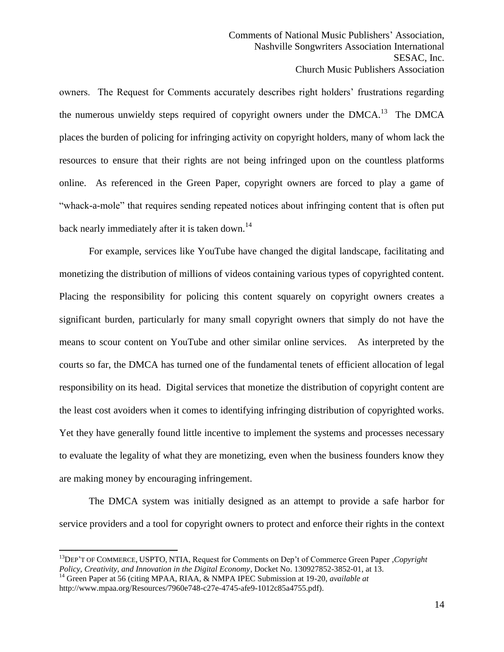owners. The Request for Comments accurately describes right holders' frustrations regarding the numerous unwieldy steps required of copyright owners under the  $DMCA$ <sup>13</sup> The DMCA places the burden of policing for infringing activity on copyright holders, many of whom lack the resources to ensure that their rights are not being infringed upon on the countless platforms online. As referenced in the Green Paper, copyright owners are forced to play a game of "whack-a-mole" that requires sending repeated notices about infringing content that is often put back nearly immediately after it is taken down.<sup>14</sup>

For example, services like YouTube have changed the digital landscape, facilitating and monetizing the distribution of millions of videos containing various types of copyrighted content. Placing the responsibility for policing this content squarely on copyright owners creates a significant burden, particularly for many small copyright owners that simply do not have the means to scour content on YouTube and other similar online services. As interpreted by the courts so far, the DMCA has turned one of the fundamental tenets of efficient allocation of legal responsibility on its head. Digital services that monetize the distribution of copyright content are the least cost avoiders when it comes to identifying infringing distribution of copyrighted works. Yet they have generally found little incentive to implement the systems and processes necessary to evaluate the legality of what they are monetizing, even when the business founders know they are making money by encouraging infringement.

The DMCA system was initially designed as an attempt to provide a safe harbor for service providers and a tool for copyright owners to protect and enforce their rights in the context

<sup>13</sup>DEP'T OF COMMERCE, USPTO, NTIA, Request for Comments on Dep't of Commerce Green Paper *,Copyright Policy, Creativity, and Innovation in the Digital Economy*, Docket No. 130927852-3852-01, at 13.

<sup>14</sup> Green Paper at 56 (citing MPAA, RIAA, & NMPA IPEC Submission at 19-20, *available at* http://www.mpaa.org/Resources/7960e748-c27e-4745-afe9-1012c85a4755.pdf).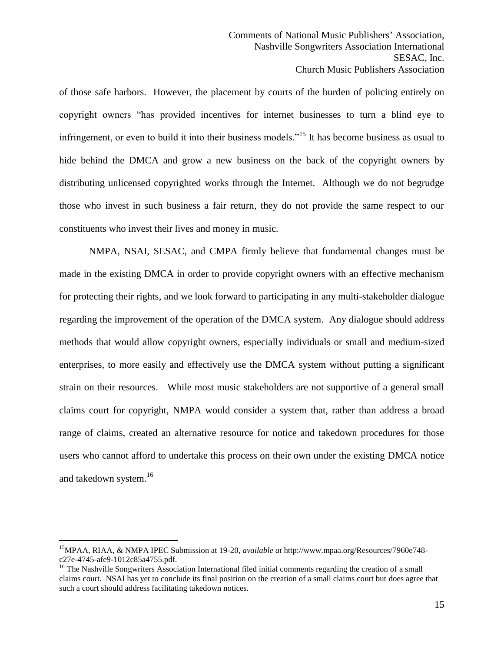of those safe harbors. However, the placement by courts of the burden of policing entirely on copyright owners "has provided incentives for internet businesses to turn a blind eye to infringement, or even to build it into their business models."<sup>15</sup> It has become business as usual to hide behind the DMCA and grow a new business on the back of the copyright owners by distributing unlicensed copyrighted works through the Internet. Although we do not begrudge those who invest in such business a fair return, they do not provide the same respect to our constituents who invest their lives and money in music.

NMPA, NSAI, SESAC, and CMPA firmly believe that fundamental changes must be made in the existing DMCA in order to provide copyright owners with an effective mechanism for protecting their rights, and we look forward to participating in any multi-stakeholder dialogue regarding the improvement of the operation of the DMCA system. Any dialogue should address methods that would allow copyright owners, especially individuals or small and medium-sized enterprises, to more easily and effectively use the DMCA system without putting a significant strain on their resources. While most music stakeholders are not supportive of a general small claims court for copyright, NMPA would consider a system that, rather than address a broad range of claims, created an alternative resource for notice and takedown procedures for those users who cannot afford to undertake this process on their own under the existing DMCA notice and takedown system. 16

<sup>15</sup>MPAA, RIAA, & NMPA IPEC Submission at 19-20, *available at* http://www.mpaa.org/Resources/7960e748 c27e-4745-afe9-1012c85a4755.pdf.

<sup>&</sup>lt;sup>16</sup> The Nashville Songwriters Association International filed initial comments regarding the creation of a small claims court. NSAI has yet to conclude its final position on the creation of a small claims court but does agree that such a court should address facilitating takedown notices.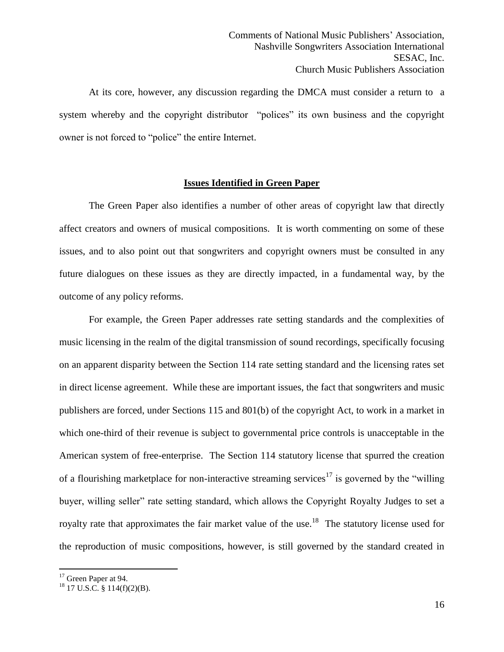At its core, however, any discussion regarding the DMCA must consider a return to a system whereby and the copyright distributor "polices" its own business and the copyright owner is not forced to "police" the entire Internet.

# **Issues Identified in Green Paper**

The Green Paper also identifies a number of other areas of copyright law that directly affect creators and owners of musical compositions. It is worth commenting on some of these issues, and to also point out that songwriters and copyright owners must be consulted in any future dialogues on these issues as they are directly impacted, in a fundamental way, by the outcome of any policy reforms.

For example, the Green Paper addresses rate setting standards and the complexities of music licensing in the realm of the digital transmission of sound recordings, specifically focusing on an apparent disparity between the Section 114 rate setting standard and the licensing rates set in direct license agreement. While these are important issues, the fact that songwriters and music publishers are forced, under Sections 115 and 801(b) of the copyright Act, to work in a market in which one-third of their revenue is subject to governmental price controls is unacceptable in the American system of free-enterprise. The Section 114 statutory license that spurred the creation of a flourishing marketplace for non-interactive streaming services<sup>17</sup> is governed by the "willing" buyer, willing seller" rate setting standard, which allows the Copyright Royalty Judges to set a royalty rate that approximates the fair market value of the use.<sup>18</sup> The statutory license used for the reproduction of music compositions, however, is still governed by the standard created in

<sup>&</sup>lt;sup>17</sup> Green Paper at 94.

 $18$  17 U.S.C. § 114(f)(2)(B).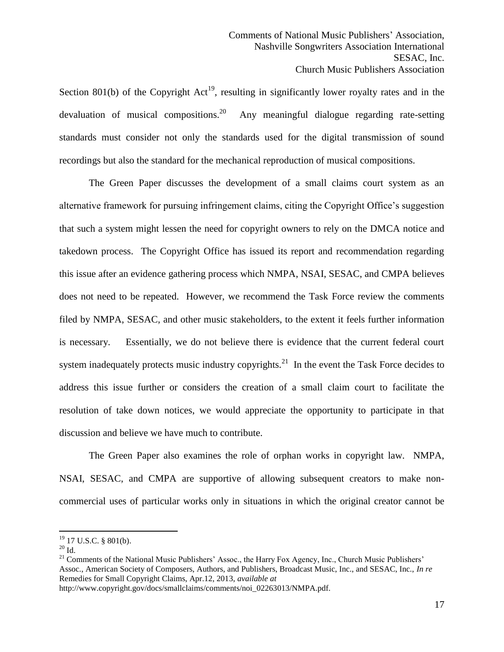Section 801(b) of the Copyright  $Act^{19}$ , resulting in significantly lower royalty rates and in the devaluation of musical compositions.<sup>20</sup> Any meaningful dialogue regarding rate-setting standards must consider not only the standards used for the digital transmission of sound recordings but also the standard for the mechanical reproduction of musical compositions.

The Green Paper discusses the development of a small claims court system as an alternative framework for pursuing infringement claims, citing the Copyright Office's suggestion that such a system might lessen the need for copyright owners to rely on the DMCA notice and takedown process. The Copyright Office has issued its report and recommendation regarding this issue after an evidence gathering process which NMPA, NSAI, SESAC, and CMPA believes does not need to be repeated. However, we recommend the Task Force review the comments filed by NMPA, SESAC, and other music stakeholders, to the extent it feels further information is necessary. Essentially, we do not believe there is evidence that the current federal court system inadequately protects music industry copyrights.<sup>21</sup> In the event the Task Force decides to address this issue further or considers the creation of a small claim court to facilitate the resolution of take down notices, we would appreciate the opportunity to participate in that discussion and believe we have much to contribute.

The Green Paper also examines the role of orphan works in copyright law. NMPA, NSAI, SESAC, and CMPA are supportive of allowing subsequent creators to make noncommercial uses of particular works only in situations in which the original creator cannot be

 $\overline{a}$  $19$  17 U.S.C. § 801(b).

 $20$  Id.

<sup>&</sup>lt;sup>21</sup> Comments of the National Music Publishers' Assoc., the Harry Fox Agency, Inc., Church Music Publishers' Assoc., American Society of Composers, Authors, and Publishers, Broadcast Music, Inc., and SESAC, Inc., *In re*  Remedies for Small Copyright Claims, Apr.12, 2013, *available at* 

http://www.copyright.gov/docs/smallclaims/comments/noi\_02263013/NMPA.pdf.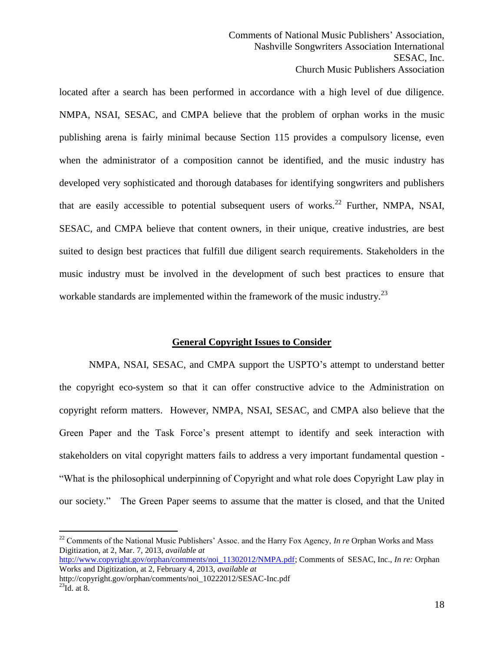located after a search has been performed in accordance with a high level of due diligence. NMPA, NSAI, SESAC, and CMPA believe that the problem of orphan works in the music publishing arena is fairly minimal because Section 115 provides a compulsory license, even when the administrator of a composition cannot be identified, and the music industry has developed very sophisticated and thorough databases for identifying songwriters and publishers that are easily accessible to potential subsequent users of works.<sup>22</sup> Further, NMPA, NSAI, SESAC, and CMPA believe that content owners, in their unique, creative industries, are best suited to design best practices that fulfill due diligent search requirements. Stakeholders in the music industry must be involved in the development of such best practices to ensure that workable standards are implemented within the framework of the music industry.<sup>23</sup>

#### **General Copyright Issues to Consider**

NMPA, NSAI, SESAC, and CMPA support the USPTO's attempt to understand better the copyright eco-system so that it can offer constructive advice to the Administration on copyright reform matters. However, NMPA, NSAI, SESAC, and CMPA also believe that the Green Paper and the Task Force's present attempt to identify and seek interaction with stakeholders on vital copyright matters fails to address a very important fundamental question - "What is the philosophical underpinning of Copyright and what role does Copyright Law play in our society." The Green Paper seems to assume that the matter is closed, and that the United

[http://www.copyright.gov/orphan/comments/noi\\_11302012/NMPA.pdf;](http://www.copyright.gov/orphan/comments/noi_11302012/NMPA.pdf) Comments of SESAC, Inc., *In re:* Orphan Works and Digitization, at 2, February 4, 2013, *available at* http://copyright.gov/orphan/comments/noi\_10222012/SESAC-Inc.pdf

<sup>22</sup> Comments of the National Music Publishers' Assoc. and the Harry Fox Agency, *In re* Orphan Works and Mass Digitization, at 2, Mar. 7, 2013, *available at*

 $^{23}$ Id. at 8.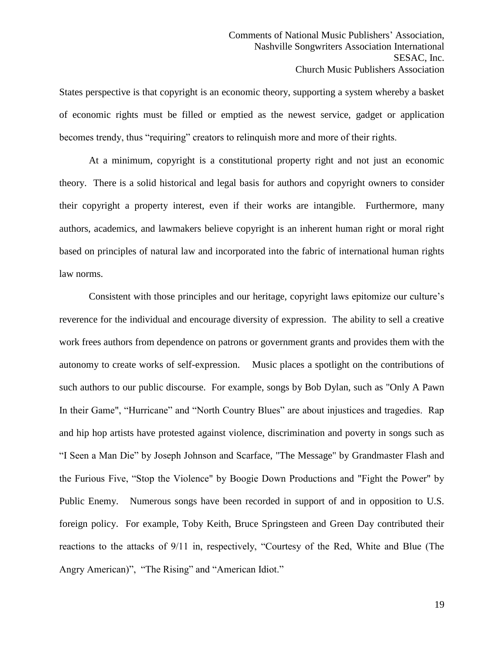States perspective is that copyright is an economic theory, supporting a system whereby a basket of economic rights must be filled or emptied as the newest service, gadget or application becomes trendy, thus "requiring" creators to relinquish more and more of their rights.

At a minimum, copyright is a constitutional property right and not just an economic theory. There is a solid historical and legal basis for authors and copyright owners to consider their copyright a property interest, even if their works are intangible. Furthermore, many authors, academics, and lawmakers believe copyright is an inherent human right or moral right based on principles of natural law and incorporated into the fabric of international human rights law norms.

Consistent with those principles and our heritage, copyright laws epitomize our culture's reverence for the individual and encourage diversity of expression. The ability to sell a creative work frees authors from dependence on patrons or government grants and provides them with the autonomy to create works of self-expression. Music places a spotlight on the contributions of such authors to our public discourse. For example, songs by Bob Dylan, such as "Only A Pawn In their Game", "Hurricane" and "North Country Blues" are about injustices and tragedies. Rap and hip hop artists have protested against violence, discrimination and poverty in songs such as "I Seen a Man Die" by Joseph Johnson and Scarface, "The Message" by Grandmaster Flash and the Furious Five, "Stop the Violence" by Boogie Down Productions and "Fight the Power" by Public Enemy. Numerous songs have been recorded in support of and in opposition to U.S. foreign policy. For example, Toby Keith, Bruce Springsteen and Green Day contributed their reactions to the attacks of 9/11 in, respectively, "Courtesy of the Red, White and Blue (The Angry American)", "The Rising" and "American Idiot."